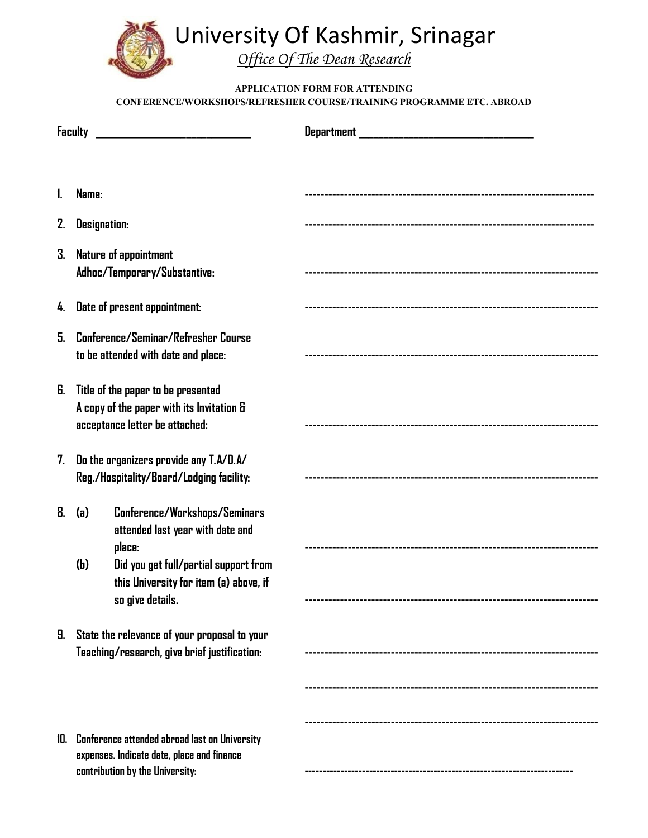

## **APPLICATION FORM FOR ATTENDING CONFERENCE/WORKSHOPS/REFRESHER COURSE/TRAINING PROGRAMME ETC. ABROAD**

|     | Faculty                                                                                                                                                                                          |  |
|-----|--------------------------------------------------------------------------------------------------------------------------------------------------------------------------------------------------|--|
|     |                                                                                                                                                                                                  |  |
| 1.  | Name:                                                                                                                                                                                            |  |
| 2.  | <b>Designation:</b>                                                                                                                                                                              |  |
| 3.  | Nature of appointment<br>Adhoc/Temporary/Substantive:                                                                                                                                            |  |
|     | 4. Date of present appointment:                                                                                                                                                                  |  |
| 5.  | Conference/Seminar/Refresher Course<br>to be attended with date and place:                                                                                                                       |  |
| 6.  | Title of the paper to be presented<br>A copy of the paper with its Invitation &<br>acceptance letter be attached:                                                                                |  |
| 7.  | Do the organizers provide any T.A/D.A/<br>Reg./Hospitality/Board/Lodging facility:                                                                                                               |  |
| 8.  | Conference/Workshops/Seminars<br>(a)<br>attended last year with date and<br>place:<br>(h)<br>Did you get full/partial support from<br>this University for item (a) above, if<br>so give details. |  |
| 9.  | State the relevance of your proposal to your<br>Teaching/research, give brief justification:                                                                                                     |  |
|     |                                                                                                                                                                                                  |  |
| 10. | Conference attended abroad last on University<br>expenses. Indicate date, place and finance                                                                                                      |  |
|     | contribution by the University:                                                                                                                                                                  |  |